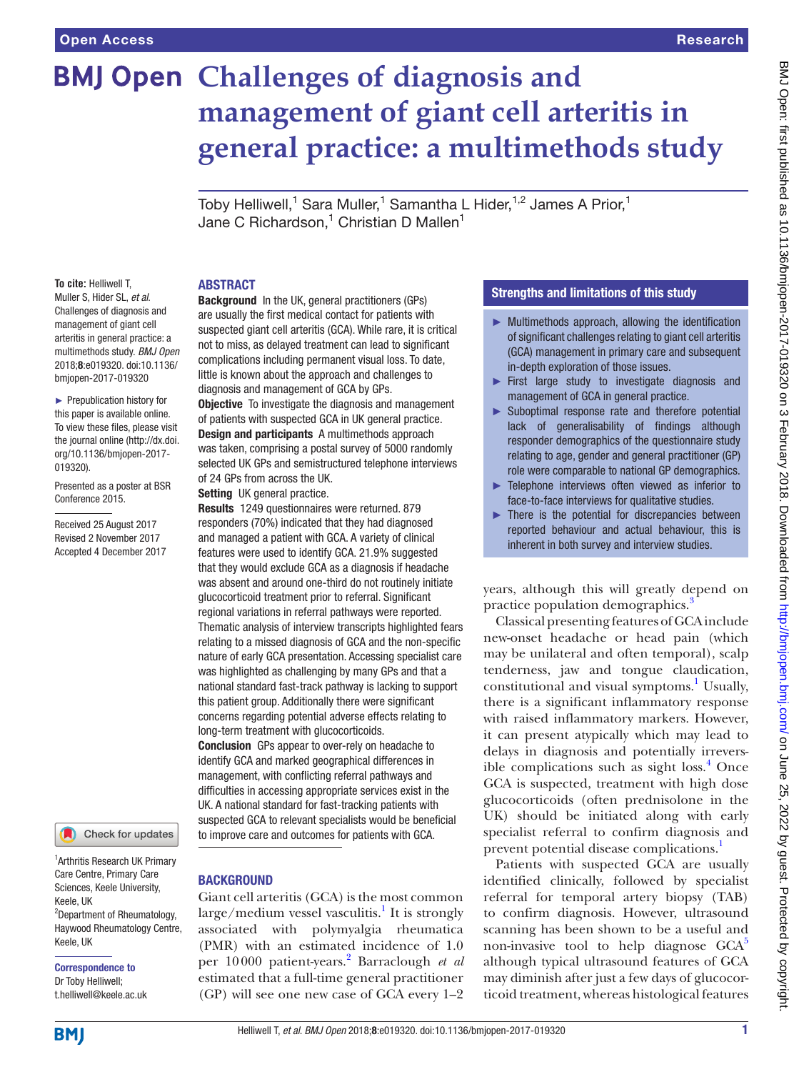# **BMJ Open Challenges of diagnosis and management of giant cell arteritis in general practice: a multimethods study**

Toby Helliwell,<sup>1</sup> Sara Muller,<sup>1</sup> Samantha L Hider,<sup>1,2</sup> James A Prior,<sup>1</sup> Jane C Richardson,<sup>1</sup> Christian D Mallen<sup>1</sup>

# **ABSTRACT**

**To cite:** Helliwell T, Muller S, Hider SL, *et al*. Challenges of diagnosis and management of giant cell arteritis in general practice: a multimethods study. *BMJ Open* 2018;8:e019320. doi:10.1136/ bmjopen-2017-019320

► Prepublication history for this paper is available online. To view these files, please visit the journal online [\(http://dx.doi.](http://dx.doi.org/10.1136/bmjopen-2017-019320) [org/10.1136/bmjopen-2017-](http://dx.doi.org/10.1136/bmjopen-2017-019320) [019320\)](http://dx.doi.org/10.1136/bmjopen-2017-019320).

Presented as a poster at BSR Conference 2015.

Received 25 August 2017 Revised 2 November 2017 Accepted 4 December 2017

Check for updates

<sup>1</sup> Arthritis Research UK Primary Care Centre, Primary Care Sciences, Keele University, Keele, UK 2 Department of Rheumatology, Haywood Rheumatology Centre, Keele, UK

Correspondence to Dr Toby Helliwell; t.helliwell@keele.ac.uk

Background In the UK, general practitioners (GPs) are usually the first medical contact for patients with suspected giant cell arteritis (GCA). While rare, it is critical not to miss, as delayed treatment can lead to significant complications including permanent visual loss. To date, little is known about the approach and challenges to diagnosis and management of GCA by GPs.

**Objective** To investigate the diagnosis and management of patients with suspected GCA in UK general practice. **Design and participants** A multimethods approach was taken, comprising a postal survey of 5000 randomly selected UK GPs and semistructured telephone interviews of 24 GPs from across the UK.

Setting UK general practice.

Results 1249 questionnaires were returned. 879 responders (70%) indicated that they had diagnosed and managed a patient with GCA. A variety of clinical features were used to identify GCA. 21.9% suggested that they would exclude GCA as a diagnosis if headache was absent and around one-third do not routinely initiate glucocorticoid treatment prior to referral. Significant regional variations in referral pathways were reported. Thematic analysis of interview transcripts highlighted fears relating to a missed diagnosis of GCA and the non-specific nature of early GCA presentation. Accessing specialist care was highlighted as challenging by many GPs and that a national standard fast-track pathway is lacking to support this patient group. Additionally there were significant concerns regarding potential adverse effects relating to long-term treatment with glucocorticoids.

Conclusion GPs appear to over-rely on headache to identify GCA and marked geographical differences in management, with conflicting referral pathways and difficulties in accessing appropriate services exist in the UK. A national standard for fast-tracking patients with suspected GCA to relevant specialists would be beneficial to improve care and outcomes for patients with GCA.

# **BACKGROUND**

Giant cell arteritis (GCA) is the most common large/medium vessel vasculitis.<sup>[1](#page-6-0)</sup> It is strongly associated with polymyalgia rheumatica (PMR) with an estimated incidence of 1.0 per 10000 patient-years.[2](#page-6-1) Barraclough *et al* estimated that a full-time general practitioner (GP) will see one new case of GCA every 1–2

# Strengths and limitations of this study

- $\blacktriangleright$  Multimethods approach, allowing the identification of significant challenges relating to giant cell arteritis (GCA) management in primary care and subsequent in-depth exploration of those issues.
- ► First large study to investigate diagnosis and management of GCA in general practice.
- ► Suboptimal response rate and therefore potential lack of generalisability of findings although responder demographics of the questionnaire study relating to age, gender and general practitioner (GP) role were comparable to national GP demographics.
- ► Telephone interviews often viewed as inferior to face-to-face interviews for qualitative studies.
- ► There is the potential for discrepancies between reported behaviour and actual behaviour, this is inherent in both survey and interview studies.

years, although this will greatly depend on practice population demographics.<sup>[3](#page-6-2)</sup>

Classical presenting features of GCA include new-onset headache or head pain (which may be unilateral and often temporal), scalp tenderness, jaw and tongue claudication, constitutional and visual symptoms.<sup>1</sup> Usually, there is a significant inflammatory response with raised inflammatory markers. However, it can present atypically which may lead to delays in diagnosis and potentially irrevers-ible complications such as sight loss.<sup>[4](#page-7-0)</sup> Once GCA is suspected, treatment with high dose glucocorticoids (often prednisolone in the UK) should be initiated along with early specialist referral to confirm diagnosis and prevent potential disease complications.<sup>[1](#page-6-0)</sup>

Patients with suspected GCA are usually identified clinically, followed by specialist referral for temporal artery biopsy (TAB) to confirm diagnosis. However, ultrasound scanning has been shown to be a useful and non-invasive tool to help diagnose  $GCA<sup>5</sup>$ although typical ultrasound features of GCA may diminish after just a few days of glucocorticoid treatment, whereas histological features

**BMI**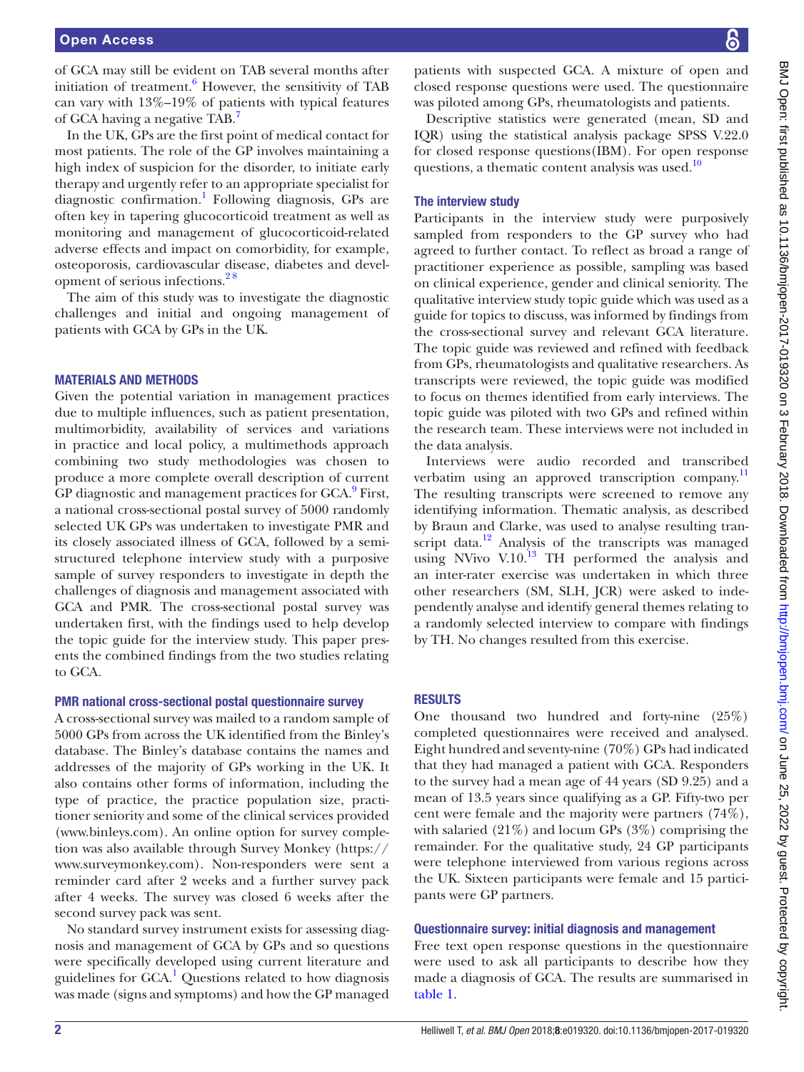of GCA may still be evident on TAB several months after initiation of treatment.<sup>[6](#page-7-2)</sup> However, the sensitivity of TAB can vary with 13%–19% of patients with typical features of GCA having a negative TAB.[7](#page-7-3)

In the UK, GPs are the first point of medical contact for most patients. The role of the GP involves maintaining a high index of suspicion for the disorder, to initiate early therapy and urgently refer to an appropriate specialist for diagnostic confirmation.<sup>[1](#page-6-0)</sup> Following diagnosis, GPs are often key in tapering glucocorticoid treatment as well as monitoring and management of glucocorticoid-related adverse effects and impact on comorbidity, for example, osteoporosis, cardiovascular disease, diabetes and development of serious infections[.2 8](#page-6-1)

The aim of this study was to investigate the diagnostic challenges and initial and ongoing management of patients with GCA by GPs in the UK.

# Materials and methods

Given the potential variation in management practices due to multiple influences, such as patient presentation, multimorbidity, availability of services and variations in practice and local policy, a multimethods approach combining two study methodologies was chosen to produce a more complete overall description of current GP diagnostic and management practices for GCA.<sup>[9](#page-7-4)</sup> First, a national cross-sectional postal survey of 5000 randomly selected UK GPs was undertaken to investigate PMR and its closely associated illness of GCA, followed by a semistructured telephone interview study with a purposive sample of survey responders to investigate in depth the challenges of diagnosis and management associated with GCA and PMR. The cross-sectional postal survey was undertaken first, with the findings used to help develop the topic guide for the interview study. This paper presents the combined findings from the two studies relating to GCA.

#### PMR national cross-sectional postal questionnaire survey

A cross-sectional survey was mailed to a random sample of 5000 GPs from across the UK identified from the Binley's database. The Binley's database contains the names and addresses of the majority of GPs working in the UK. It also contains other forms of information, including the type of practice, the practice population size, practitioner seniority and some of the clinical services provided ([www.binleys.com\).](www.binleys.com) An online option for survey completion was also available through Survey Monkey [\(https://](https://www.surveymonkey.com) [www.surveymonkey.com](https://www.surveymonkey.com)). Non-responders were sent a reminder card after 2 weeks and a further survey pack after 4 weeks. The survey was closed 6 weeks after the second survey pack was sent.

No standard survey instrument exists for assessing diagnosis and management of GCA by GPs and so questions were specifically developed using current literature and guidelines for GCA.<sup>[1](#page-6-0)</sup> Questions related to how diagnosis was made (signs and symptoms) and how the GP managed

patients with suspected GCA. A mixture of open and closed response questions were used. The questionnaire was piloted among GPs, rheumatologists and patients.

Descriptive statistics were generated (mean, SD and IQR) using the statistical analysis package SPSS V.22.0 for closed response questions(IBM). For open response questions, a thematic content analysis was used.<sup>10</sup>

# The interview study

Participants in the interview study were purposively sampled from responders to the GP survey who had agreed to further contact. To reflect as broad a range of practitioner experience as possible, sampling was based on clinical experience, gender and clinical seniority. The qualitative interview study topic guide which was used as a guide for topics to discuss, was informed by findings from the cross-sectional survey and relevant GCA literature. The topic guide was reviewed and refined with feedback from GPs, rheumatologists and qualitative researchers. As transcripts were reviewed, the topic guide was modified to focus on themes identified from early interviews. The topic guide was piloted with two GPs and refined within the research team. These interviews were not included in the data analysis.

Interviews were audio recorded and transcribed verbatim using an approved transcription company.<sup>[11](#page-7-6)</sup> The resulting transcripts were screened to remove any identifying information. Thematic analysis, as described by Braun and Clarke, was used to analyse resulting transcript data. $12$  Analysis of the transcripts was managed using NVivo V.10. $^{13}$  TH performed the analysis and an inter-rater exercise was undertaken in which three other researchers (SM, SLH, JCR) were asked to independently analyse and identify general themes relating to a randomly selected interview to compare with findings by TH. No changes resulted from this exercise.

# **RESULTS**

One thousand two hundred and forty-nine (25%) completed questionnaires were received and analysed. Eight hundred and seventy-nine (70%) GPs had indicated that they had managed a patient with GCA. Responders to the survey had a mean age of 44 years (SD 9.25) and a mean of 13.5 years since qualifying as a GP. Fifty-two per cent were female and the majority were partners (74%), with salaried  $(21\%)$  and locum GPs  $(3\%)$  comprising the remainder. For the qualitative study, 24 GP participants were telephone interviewed from various regions across the UK. Sixteen participants were female and 15 participants were GP partners.

#### Questionnaire survey: initial diagnosis and management

Free text open response questions in the questionnaire were used to ask all participants to describe how they made a diagnosis of GCA. The results are summarised in [table](#page-2-0) 1.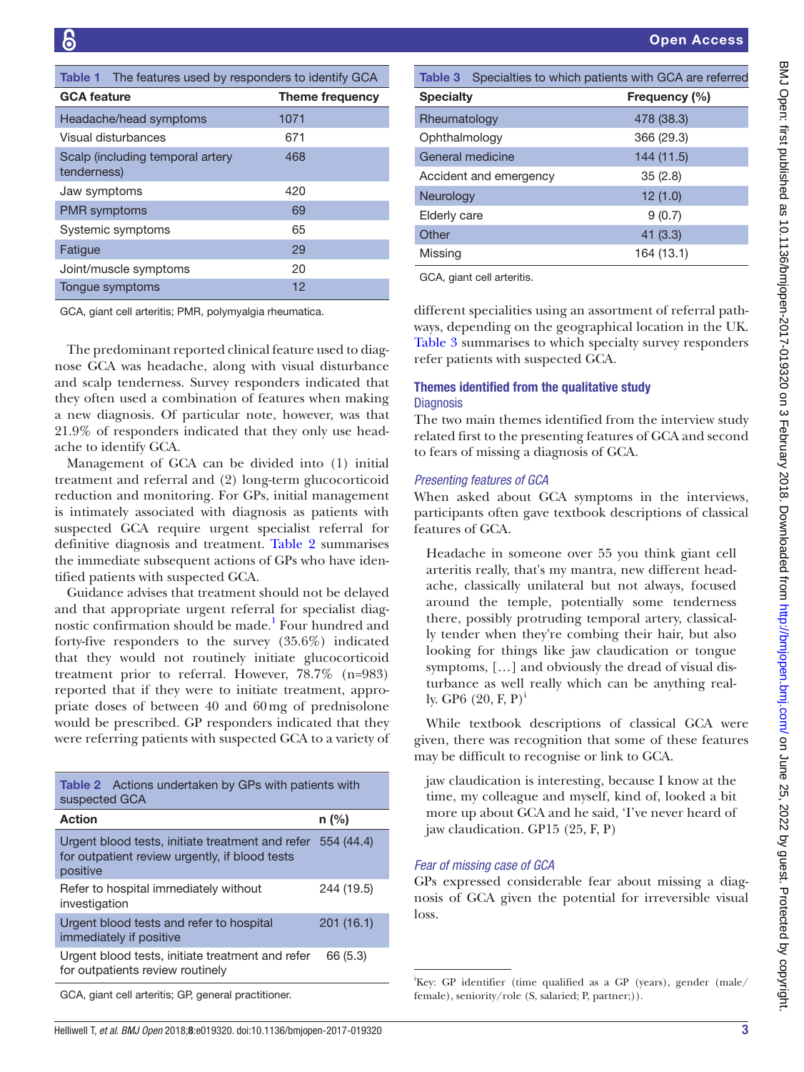<span id="page-2-0"></span>

| <b>Table 1</b> The features used by responders to identify GCA |                        |  |
|----------------------------------------------------------------|------------------------|--|
| <b>GCA feature</b>                                             | <b>Theme frequency</b> |  |
| Headache/head symptoms                                         | 1071                   |  |
| Visual disturbances                                            | 671                    |  |
| Scalp (including temporal artery<br>tenderness)                | 468                    |  |
| Jaw symptoms                                                   | 420                    |  |
| <b>PMR</b> symptoms                                            | 69                     |  |
| Systemic symptoms                                              | 65                     |  |
| Fatigue                                                        | 29                     |  |
| Joint/muscle symptoms                                          | 20                     |  |
| Tonque symptoms                                                | 12                     |  |

GCA, giant cell arteritis; PMR, polymyalgia rheumatica.

The predominant reported clinical feature used to diagnose GCA was headache, along with visual disturbance and scalp tenderness. Survey responders indicated that they often used a combination of features when making a new diagnosis. Of particular note, however, was that 21.9% of responders indicated that they only use headache to identify GCA.

Management of GCA can be divided into (1) initial treatment and referral and (2) long-term glucocorticoid reduction and monitoring. For GPs, initial management is intimately associated with diagnosis as patients with suspected GCA require urgent specialist referral for definitive diagnosis and treatment. [Table](#page-2-1) 2 summarises the immediate subsequent actions of GPs who have identified patients with suspected GCA.

Guidance advises that treatment should not be delayed and that appropriate urgent referral for specialist diag-nostic confirmation should be made.<sup>[1](#page-6-0)</sup> Four hundred and forty-five responders to the survey (35.6%) indicated that they would not routinely initiate glucocorticoid treatment prior to referral. However, 78.7% (n=983) reported that if they were to initiate treatment, appropriate doses of between 40 and 60mg of prednisolone would be prescribed. GP responders indicated that they were referring patients with suspected GCA to a variety of

<span id="page-2-1"></span>

| <b>Table 2</b> Actions undertaken by GPs with patients with<br>suspected GCA                                   |            |  |
|----------------------------------------------------------------------------------------------------------------|------------|--|
| <b>Action</b>                                                                                                  | $n$ (%)    |  |
| Urgent blood tests, initiate treatment and refer<br>for outpatient review urgently, if blood tests<br>positive | 554 (44.4) |  |
| Refer to hospital immediately without<br>investigation                                                         | 244 (19.5) |  |
| Urgent blood tests and refer to hospital<br>immediately if positive                                            | 201(16.1)  |  |
| Urgent blood tests, initiate treatment and refer<br>for outpatients review routinely                           | 66 (5.3)   |  |
|                                                                                                                |            |  |

GCA, giant cell arteritis; GP, general practitioner.

Open Access

<span id="page-2-2"></span>

| Specialties to which patients with GCA are referred<br>Table 3 |               |  |
|----------------------------------------------------------------|---------------|--|
| <b>Specialty</b>                                               | Frequency (%) |  |
| Rheumatology                                                   | 478 (38.3)    |  |
| Ophthalmology                                                  | 366 (29.3)    |  |
| General medicine                                               | 144 (11.5)    |  |
| Accident and emergency                                         | 35(2.8)       |  |
| Neurology                                                      | 12(1.0)       |  |
| Elderly care                                                   | 9(0.7)        |  |
| Other                                                          | 41(3.3)       |  |
| Missing                                                        | 164 (13.1)    |  |
| $CCA$ giant coll orterition                                    |               |  |

GCA, giant cell arteritis.

different specialities using an assortment of referral pathways, depending on the geographical location in the UK. [Table](#page-2-2) 3 summarises to which specialty survey responders refer patients with suspected GCA.

# Themes identified from the qualitative study **Diagnosis**

The two main themes identified from the interview study related first to the presenting features of GCA and second to fears of missing a diagnosis of GCA.

# *Presenting features of GCA*

When asked about GCA symptoms in the interviews, participants often gave textbook descriptions of classical features of GCA.

Headache in someone over 55 you think giant cell arteritis really, that's my mantra, new different headache, classically unilateral but not always, focused around the temple, potentially some tenderness there, possibly protruding temporal artery, classically tender when they're combing their hair, but also looking for things like jaw claudication or tongue symptoms, […] and obviously the dread of visual disturbance as well really which can be anything really. GP6  $(20, F, P)^1$ 

While textbook descriptions of classical GCA were given, there was recognition that some of these features may be difficult to recognise or link to GCA.

jaw claudication is interesting, because I know at the time, my colleague and myself, kind of, looked a bit more up about GCA and he said, 'I've never heard of jaw claudication. GP15 (25, F, P)

# *Fear of missing case of GCA*

GPs expressed considerable fear about missing a diagnosis of GCA given the potential for irreversible visual loss.

i Key: GP identifier (time qualified as a GP (years), gender (male/ female), seniority/role (S, salaried; P, partner;)).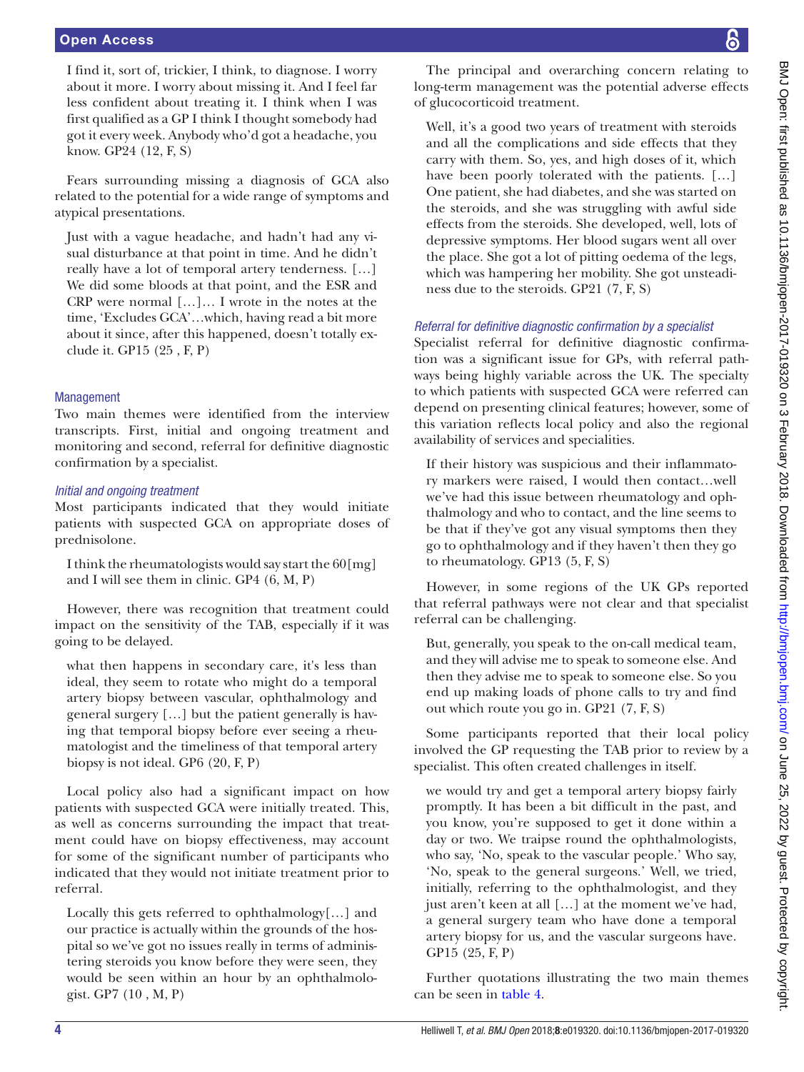I find it, sort of, trickier, I think, to diagnose. I worry about it more. I worry about missing it. And I feel far less confident about treating it. I think when I was first qualified as a GP I think I thought somebody had got it every week. Anybody who'd got a headache, you know. GP24 (12, F, S)

Fears surrounding missing a diagnosis of GCA also related to the potential for a wide range of symptoms and atypical presentations.

Just with a vague headache, and hadn't had any visual disturbance at that point in time. And he didn't really have a lot of temporal artery tenderness. […] We did some bloods at that point, and the ESR and CRP were normal […]… I wrote in the notes at the time, 'Excludes GCA'…which, having read a bit more about it since, after this happened, doesn't totally exclude it. GP15 (25 , F, P)

# Management

Two main themes were identified from the interview transcripts. First, initial and ongoing treatment and monitoring and second, referral for definitive diagnostic confirmation by a specialist.

# *Initial and ongoing treatment*

Most participants indicated that they would initiate patients with suspected GCA on appropriate doses of prednisolone.

I think the rheumatologists would say start the 60[mg] and I will see them in clinic. GP4 (6, M, P)

However, there was recognition that treatment could impact on the sensitivity of the TAB, especially if it was going to be delayed.

what then happens in secondary care, it's less than ideal, they seem to rotate who might do a temporal artery biopsy between vascular, ophthalmology and general surgery […] but the patient generally is having that temporal biopsy before ever seeing a rheumatologist and the timeliness of that temporal artery biopsy is not ideal. GP6 (20, F, P)

Local policy also had a significant impact on how patients with suspected GCA were initially treated. This, as well as concerns surrounding the impact that treatment could have on biopsy effectiveness, may account for some of the significant number of participants who indicated that they would not initiate treatment prior to referral.

Locally this gets referred to ophthalmology[…] and our practice is actually within the grounds of the hospital so we've got no issues really in terms of administering steroids you know before they were seen, they would be seen within an hour by an ophthalmologist. GP7 (10 , M, P)

The principal and overarching concern relating to long-term management was the potential adverse effects of glucocorticoid treatment.

Well, it's a good two years of treatment with steroids and all the complications and side effects that they carry with them. So, yes, and high doses of it, which have been poorly tolerated with the patients. [...] One patient, she had diabetes, and she was started on the steroids, and she was struggling with awful side effects from the steroids. She developed, well, lots of depressive symptoms. Her blood sugars went all over the place. She got a lot of pitting oedema of the legs, which was hampering her mobility. She got unsteadiness due to the steroids. GP21 (7, F, S)

# *Referral for definitive diagnostic confirmation by a specialist*

Specialist referral for definitive diagnostic confirmation was a significant issue for GPs, with referral pathways being highly variable across the UK. The specialty to which patients with suspected GCA were referred can depend on presenting clinical features; however, some of this variation reflects local policy and also the regional availability of services and specialities.

If their history was suspicious and their inflammatory markers were raised, I would then contact…well we've had this issue between rheumatology and ophthalmology and who to contact, and the line seems to be that if they've got any visual symptoms then they go to ophthalmology and if they haven't then they go to rheumatology. GP13 (5, F, S)

However, in some regions of the UK GPs reported that referral pathways were not clear and that specialist referral can be challenging.

But, generally, you speak to the on-call medical team, and they will advise me to speak to someone else. And then they advise me to speak to someone else. So you end up making loads of phone calls to try and find out which route you go in. GP21 (7, F, S)

Some participants reported that their local policy involved the GP requesting the TAB prior to review by a specialist. This often created challenges in itself.

we would try and get a temporal artery biopsy fairly promptly. It has been a bit difficult in the past, and you know, you're supposed to get it done within a day or two. We traipse round the ophthalmologists, who say, 'No, speak to the vascular people.' Who say, 'No, speak to the general surgeons.' Well, we tried, initially, referring to the ophthalmologist, and they just aren't keen at all […] at the moment we've had, a general surgery team who have done a temporal artery biopsy for us, and the vascular surgeons have. GP15 (25, F, P)

Further quotations illustrating the two main themes can be seen in [table](#page-4-0) 4.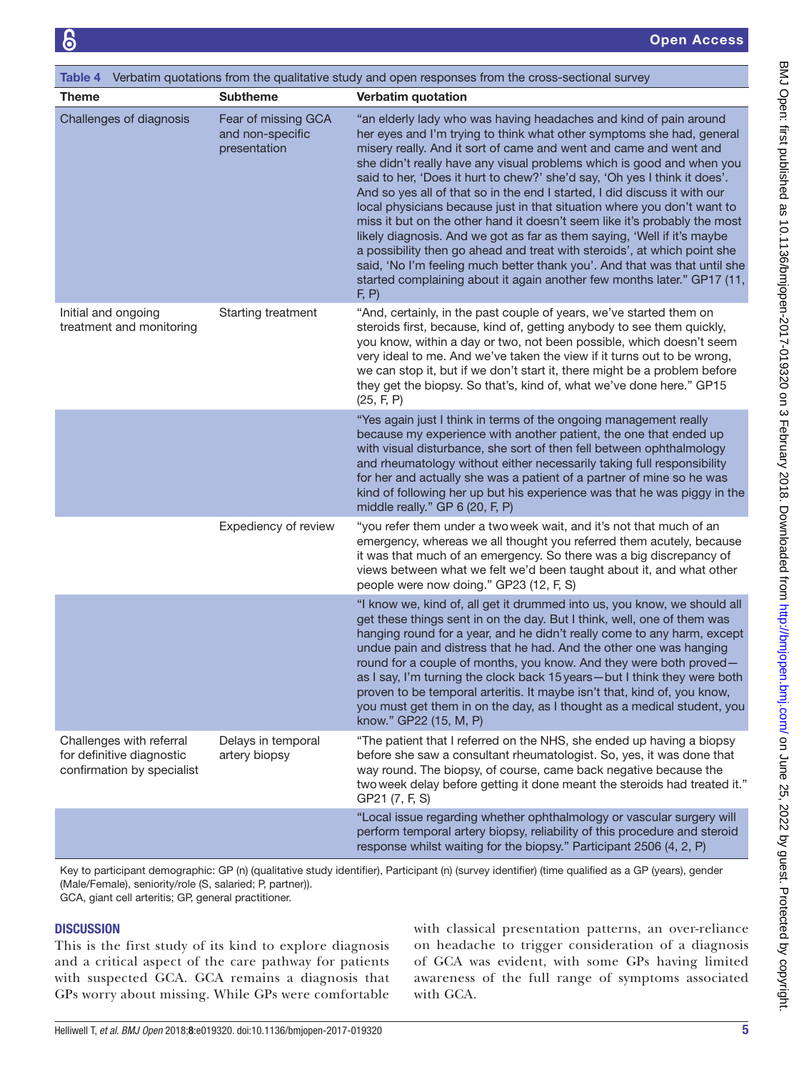<span id="page-4-0"></span>

| Table 4 Verbatim quotations from the qualitative study and open responses from the cross-sectional survey |                                                         |                                                                                                                                                                                                                                                                                                                                                                                                                                                                                                                                                                                                                                                                                                                                                                                                                                                                                                                                    |  |
|-----------------------------------------------------------------------------------------------------------|---------------------------------------------------------|------------------------------------------------------------------------------------------------------------------------------------------------------------------------------------------------------------------------------------------------------------------------------------------------------------------------------------------------------------------------------------------------------------------------------------------------------------------------------------------------------------------------------------------------------------------------------------------------------------------------------------------------------------------------------------------------------------------------------------------------------------------------------------------------------------------------------------------------------------------------------------------------------------------------------------|--|
| <b>Theme</b>                                                                                              | <b>Subtheme</b>                                         | Verbatim quotation                                                                                                                                                                                                                                                                                                                                                                                                                                                                                                                                                                                                                                                                                                                                                                                                                                                                                                                 |  |
| Challenges of diagnosis                                                                                   | Fear of missing GCA<br>and non-specific<br>presentation | "an elderly lady who was having headaches and kind of pain around<br>her eyes and I'm trying to think what other symptoms she had, general<br>misery really. And it sort of came and went and came and went and<br>she didn't really have any visual problems which is good and when you<br>said to her, 'Does it hurt to chew?' she'd say, 'Oh yes I think it does'.<br>And so yes all of that so in the end I started, I did discuss it with our<br>local physicians because just in that situation where you don't want to<br>miss it but on the other hand it doesn't seem like it's probably the most<br>likely diagnosis. And we got as far as them saying, 'Well if it's maybe<br>a possibility then go ahead and treat with steroids', at which point she<br>said, 'No I'm feeling much better thank you'. And that was that until she<br>started complaining about it again another few months later." GP17 (11,<br>F, P) |  |
| Initial and ongoing<br>treatment and monitoring                                                           | <b>Starting treatment</b>                               | "And, certainly, in the past couple of years, we've started them on<br>steroids first, because, kind of, getting anybody to see them quickly,<br>you know, within a day or two, not been possible, which doesn't seem<br>very ideal to me. And we've taken the view if it turns out to be wrong,<br>we can stop it, but if we don't start it, there might be a problem before<br>they get the biopsy. So that's, kind of, what we've done here." GP15<br>(25, F, P)                                                                                                                                                                                                                                                                                                                                                                                                                                                                |  |
|                                                                                                           |                                                         | "Yes again just I think in terms of the ongoing management really<br>because my experience with another patient, the one that ended up<br>with visual disturbance, she sort of then fell between ophthalmology<br>and rheumatology without either necessarily taking full responsibility<br>for her and actually she was a patient of a partner of mine so he was<br>kind of following her up but his experience was that he was piggy in the<br>middle really." GP 6 (20, F, P)                                                                                                                                                                                                                                                                                                                                                                                                                                                   |  |
|                                                                                                           | Expediency of review                                    | "you refer them under a two week wait, and it's not that much of an<br>emergency, whereas we all thought you referred them acutely, because<br>it was that much of an emergency. So there was a big discrepancy of<br>views between what we felt we'd been taught about it, and what other<br>people were now doing." GP23 (12, F, S)                                                                                                                                                                                                                                                                                                                                                                                                                                                                                                                                                                                              |  |
|                                                                                                           |                                                         | "I know we, kind of, all get it drummed into us, you know, we should all<br>get these things sent in on the day. But I think, well, one of them was<br>hanging round for a year, and he didn't really come to any harm, except<br>undue pain and distress that he had. And the other one was hanging<br>round for a couple of months, you know. And they were both proved-<br>as I say, I'm turning the clock back 15 years-but I think they were both<br>proven to be temporal arteritis. It maybe isn't that, kind of, you know,<br>you must get them in on the day, as I thought as a medical student, you<br>know." GP22 (15, M, P)                                                                                                                                                                                                                                                                                            |  |
| Challenges with referral<br>for definitive diagnostic<br>confirmation by specialist                       | Delays in temporal<br>artery biopsy                     | "The patient that I referred on the NHS, she ended up having a biopsy<br>before she saw a consultant rheumatologist. So, yes, it was done that<br>way round. The biopsy, of course, came back negative because the<br>two week delay before getting it done meant the steroids had treated it."<br>GP21 (7, F, S)                                                                                                                                                                                                                                                                                                                                                                                                                                                                                                                                                                                                                  |  |
|                                                                                                           |                                                         | "Local issue regarding whether ophthalmology or vascular surgery will<br>perform temporal artery biopsy, reliability of this procedure and steroid<br>response whilst waiting for the biopsy." Participant 2506 (4, 2, P)                                                                                                                                                                                                                                                                                                                                                                                                                                                                                                                                                                                                                                                                                                          |  |

Key to participant demographic: GP (n) (qualitative study identifier), Participant (n) (survey identifier) (time qualified as a GP (years), gender (Male/Female), seniority/role (S, salaried; P, partner)).

GCA, giant cell arteritis; GP, general practitioner.

# **DISCUSSION**

This is the first study of its kind to explore diagnosis and a critical aspect of the care pathway for patients with suspected GCA. GCA remains a diagnosis that GPs worry about missing. While GPs were comfortable

with classical presentation patterns, an over-reliance on headache to trigger consideration of a diagnosis of GCA was evident, with some GPs having limited awareness of the full range of symptoms associated with GCA.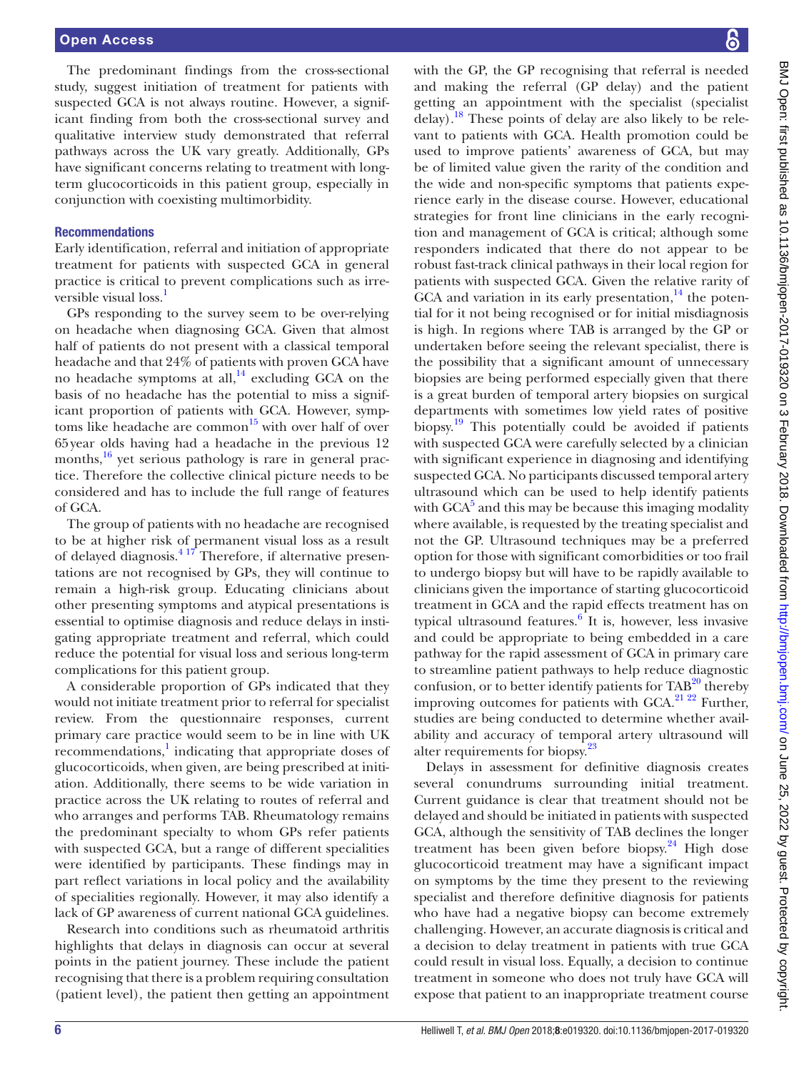The predominant findings from the cross-sectional study, suggest initiation of treatment for patients with suspected GCA is not always routine. However, a significant finding from both the cross-sectional survey and qualitative interview study demonstrated that referral pathways across the UK vary greatly. Additionally, GPs have significant concerns relating to treatment with longterm glucocorticoids in this patient group, especially in conjunction with coexisting multimorbidity.

# Recommendations

Early identification, referral and initiation of appropriate treatment for patients with suspected GCA in general practice is critical to prevent complications such as irreversible visual loss.

GPs responding to the survey seem to be over-relying on headache when diagnosing GCA. Given that almost half of patients do not present with a classical temporal headache and that 24% of patients with proven GCA have no headache symptoms at all, $^{14}$  excluding GCA on the basis of no headache has the potential to miss a significant proportion of patients with GCA. However, symptoms like headache are common $^{15}$  with over half of over 65year olds having had a headache in the previous 12 months,<sup>16</sup> yet serious pathology is rare in general practice. Therefore the collective clinical picture needs to be considered and has to include the full range of features of GCA.

The group of patients with no headache are recognised to be at higher risk of permanent visual loss as a result of delayed diagnosis.[4 17](#page-7-0) Therefore, if alternative presentations are not recognised by GPs, they will continue to remain a high-risk group. Educating clinicians about other presenting symptoms and atypical presentations is essential to optimise diagnosis and reduce delays in instigating appropriate treatment and referral, which could reduce the potential for visual loss and serious long-term complications for this patient group.

A considerable proportion of GPs indicated that they would not initiate treatment prior to referral for specialist review. From the questionnaire responses, current primary care practice would seem to be in line with UK recommendations,<sup>1</sup> indicating that appropriate doses of glucocorticoids, when given, are being prescribed at initiation. Additionally, there seems to be wide variation in practice across the UK relating to routes of referral and who arranges and performs TAB. Rheumatology remains the predominant specialty to whom GPs refer patients with suspected GCA, but a range of different specialities were identified by participants. These findings may in part reflect variations in local policy and the availability of specialities regionally. However, it may also identify a lack of GP awareness of current national GCA guidelines.

Research into conditions such as rheumatoid arthritis highlights that delays in diagnosis can occur at several points in the patient journey. These include the patient recognising that there is a problem requiring consultation (patient level), the patient then getting an appointment

with the GP, the GP recognising that referral is needed and making the referral (GP delay) and the patient getting an appointment with the specialist (specialist delay).[18](#page-7-12) These points of delay are also likely to be relevant to patients with GCA. Health promotion could be used to improve patients' awareness of GCA, but may be of limited value given the rarity of the condition and the wide and non-specific symptoms that patients experience early in the disease course. However, educational strategies for front line clinicians in the early recognition and management of GCA is critical; although some responders indicated that there do not appear to be robust fast-track clinical pathways in their local region for patients with suspected GCA. Given the relative rarity of GCA and variation in its early presentation, $^{14}$  the potential for it not being recognised or for initial misdiagnosis is high. In regions where TAB is arranged by the GP or undertaken before seeing the relevant specialist, there is the possibility that a significant amount of unnecessary biopsies are being performed especially given that there is a great burden of temporal artery biopsies on surgical departments with sometimes low yield rates of positive biopsy.<sup>19</sup> This potentially could be avoided if patients with suspected GCA were carefully selected by a clinician with significant experience in diagnosing and identifying suspected GCA. No participants discussed temporal artery ultrasound which can be used to help identify patients with  $GCA<sup>5</sup>$  and this may be because this imaging modality where available, is requested by the treating specialist and not the GP. Ultrasound techniques may be a preferred option for those with significant comorbidities or too frail to undergo biopsy but will have to be rapidly available to clinicians given the importance of starting glucocorticoid treatment in GCA and the rapid effects treatment has on typical ultrasound features.<sup>[6](#page-7-2)</sup> It is, however, less invasive and could be appropriate to being embedded in a care pathway for the rapid assessment of GCA in primary care to streamline patient pathways to help reduce diagnostic confusion, or to better identify patients for  $TAB^{20}$  $TAB^{20}$  $TAB^{20}$  thereby improving outcomes for patients with GCA.<sup>[21 22](#page-7-15)</sup> Further, studies are being conducted to determine whether availability and accuracy of temporal artery ultrasound will alter requirements for biopsy.<sup>[23](#page-7-16)</sup>

Delays in assessment for definitive diagnosis creates several conundrums surrounding initial treatment. Current guidance is clear that treatment should not be delayed and should be initiated in patients with suspected GCA, although the sensitivity of TAB declines the longer treatment has been given before biopsy. $^{24}$  High dose glucocorticoid treatment may have a significant impact on symptoms by the time they present to the reviewing specialist and therefore definitive diagnosis for patients who have had a negative biopsy can become extremely challenging. However, an accurate diagnosis is critical and a decision to delay treatment in patients with true GCA could result in visual loss. Equally, a decision to continue treatment in someone who does not truly have GCA will expose that patient to an inappropriate treatment course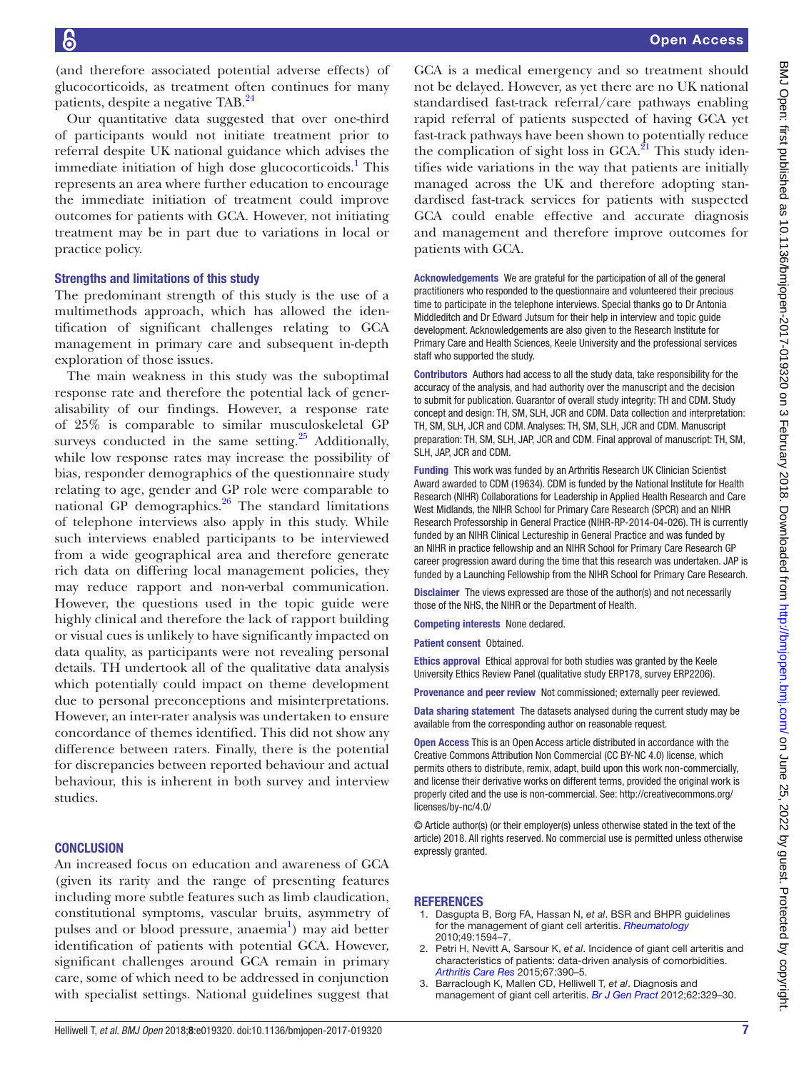(and therefore associated potential adverse effects) of glucocorticoids, as treatment often continues for many patients, despite a negative TAB.<sup>[24](#page-7-17)</sup>

Our quantitative data suggested that over one-third of participants would not initiate treatment prior to referral despite UK national guidance which advises the immediate initiation of high dose glucocorticoids.<sup>[1](#page-6-0)</sup> This represents an area where further education to encourage the immediate initiation of treatment could improve outcomes for patients with GCA. However, not initiating treatment may be in part due to variations in local or practice policy.

#### Strengths and limitations of this study

The predominant strength of this study is the use of a multimethods approach, which has allowed the identification of significant challenges relating to GCA management in primary care and subsequent in-depth exploration of those issues.

The main weakness in this study was the suboptimal response rate and therefore the potential lack of generalisability of our findings. However, a response rate of 25% is comparable to similar musculoskeletal GP surveys conducted in the same setting. $25$  Additionally, while low response rates may increase the possibility of bias, responder demographics of the questionnaire study relating to age, gender and GP role were comparable to national GP demographics.<sup>26</sup> The standard limitations of telephone interviews also apply in this study. While such interviews enabled participants to be interviewed from a wide geographical area and therefore generate rich data on differing local management policies, they may reduce rapport and non-verbal communication. However, the questions used in the topic guide were highly clinical and therefore the lack of rapport building or visual cues is unlikely to have significantly impacted on data quality, as participants were not revealing personal details. TH undertook all of the qualitative data analysis which potentially could impact on theme development due to personal preconceptions and misinterpretations. However, an inter-rater analysis was undertaken to ensure concordance of themes identified. This did not show any difference between raters. Finally, there is the potential for discrepancies between reported behaviour and actual behaviour, this is inherent in both survey and interview studies.

# **CONCLUSION**

An increased focus on education and awareness of GCA (given its rarity and the range of presenting features including more subtle features such as limb claudication, constitutional symptoms, vascular bruits, asymmetry of pulses and or blood pressure, anaemia<sup>[1](#page-6-0)</sup>) may aid better identification of patients with potential GCA. However, significant challenges around GCA remain in primary care, some of which need to be addressed in conjunction with specialist settings. National guidelines suggest that

GCA is a medical emergency and so treatment should not be delayed. However, as yet there are no UK national standardised fast-track referral/care pathways enabling rapid referral of patients suspected of having GCA yet fast-track pathways have been shown to potentially reduce the complication of sight loss in  $GCA<sup>21</sup>$  This study identifies wide variations in the way that patients are initially managed across the UK and therefore adopting standardised fast-track services for patients with suspected GCA could enable effective and accurate diagnosis and management and therefore improve outcomes for patients with GCA.

Acknowledgements We are grateful for the participation of all of the general practitioners who responded to the questionnaire and volunteered their precious time to participate in the telephone interviews. Special thanks go to Dr Antonia Middleditch and Dr Edward Jutsum for their help in interview and topic guide development. Acknowledgements are also given to the Research Institute for Primary Care and Health Sciences, Keele University and the professional services staff who supported the study.

Contributors Authors had access to all the study data, take responsibility for the accuracy of the analysis, and had authority over the manuscript and the decision to submit for publication. Guarantor of overall study integrity: TH and CDM. Study concept and design: TH, SM, SLH, JCR and CDM. Data collection and interpretation: TH, SM, SLH, JCR and CDM. Analyses: TH, SM, SLH, JCR and CDM. Manuscript preparation: TH, SM, SLH, JAP, JCR and CDM. Final approval of manuscript: TH, SM, SLH, JAP, JCR and CDM.

Funding This work was funded by an Arthritis Research UK Clinician Scientist Award awarded to CDM (19634). CDM is funded by the National Institute for Health Research (NIHR) Collaborations for Leadership in Applied Health Research and Care West Midlands, the NIHR School for Primary Care Research (SPCR) and an NIHR Research Professorship in General Practice (NIHR-RP-2014-04-026). TH is currently funded by an NIHR Clinical Lectureship in General Practice and was funded by an NIHR in practice fellowship and an NIHR School for Primary Care Research GP career progression award during the time that this research was undertaken. JAP is funded by a Launching Fellowship from the NIHR School for Primary Care Research.

Disclaimer The views expressed are those of the author(s) and not necessarily those of the NHS, the NIHR or the Department of Health.

Competing interests None declared.

Patient consent Obtained.

Ethics approval Ethical approval for both studies was granted by the Keele University Ethics Review Panel (qualitative study ERP178, survey ERP2206).

Provenance and peer review Not commissioned; externally peer reviewed.

Data sharing statement The datasets analysed during the current study may be available from the corresponding author on reasonable request.

Open Access This is an Open Access article distributed in accordance with the Creative Commons Attribution Non Commercial (CC BY-NC 4.0) license, which permits others to distribute, remix, adapt, build upon this work non-commercially, and license their derivative works on different terms, provided the original work is properly cited and the use is non-commercial. See: [http://creativecommons.org/](http://creativecommons.org/licenses/by-nc/4.0/) [licenses/by-nc/4.0/](http://creativecommons.org/licenses/by-nc/4.0/)

© Article author(s) (or their employer(s) unless otherwise stated in the text of the article) 2018. All rights reserved. No commercial use is permitted unless otherwise expressly granted.

# **REFERENCES**

- <span id="page-6-0"></span>1. Dasgupta B, Borg FA, Hassan N, *et al*. BSR and BHPR guidelines for the management of giant cell arteritis. *[Rheumatology](http://dx.doi.org/10.1093/rheumatology/keq039a)* 2010;49:1594–7.
- <span id="page-6-1"></span>2. Petri H, Nevitt A, Sarsour K, *et al*. Incidence of giant cell arteritis and characteristics of patients: data-driven analysis of comorbidities. *[Arthritis Care Res](http://dx.doi.org/10.1002/acr.22429)* 2015;67:390–5.
- <span id="page-6-2"></span>3. Barraclough K, Mallen CD, Helliwell T, *et al*. Diagnosis and management of giant cell arteritis. *[Br J Gen Pract](http://dx.doi.org/10.3399/bjgp12X649313)* 2012;62:329–30.